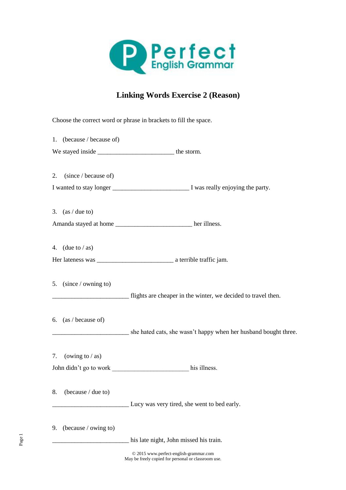

## **Linking Words Exercise 2 (Reason)**

Choose the correct word or phrase in brackets to fill the space. 1. (because / because of) We stayed inside \_\_\_\_\_\_\_\_\_\_\_\_\_\_\_\_\_\_\_\_\_\_\_\_\_\_\_\_\_\_ the storm. 2. (since / because of) I wanted to stay longer \_\_\_\_\_\_\_\_\_\_\_\_\_\_\_\_\_\_\_\_\_\_\_\_ I was really enjoying the party. 3.  $(as / due to)$ Amanda stayed at home \_\_\_\_\_\_\_\_\_\_\_\_\_\_\_\_\_\_\_\_\_\_\_\_\_\_\_\_ her illness. 4. (due to  $/\text{as}$ ) Her lateness was \_\_\_\_\_\_\_\_\_\_\_\_\_\_\_\_\_\_\_\_\_\_\_\_ a terrible traffic jam. 5. (since / owning to) \_\_\_\_\_\_\_\_\_\_\_\_\_\_\_\_\_\_\_\_\_\_\_\_ flights are cheaper in the winter, we decided to travel then. 6. (as / because of) \_\_\_\_\_\_\_\_\_\_\_\_\_\_\_\_\_\_ she hated cats, she wasn't happy when her husband bought three. 7. (owing to  $/\text{as}$ ) John didn't go to work \_\_\_\_\_\_\_\_\_\_\_\_\_\_\_\_\_\_\_\_\_\_\_\_ his illness. 8. (because / due to) \_\_\_\_\_\_\_\_\_\_\_\_\_\_\_\_\_\_\_\_\_\_\_\_ Lucy was very tired, she went to bed early. 9. (because / owing to) his late night, John missed his train.

> © 2015 www.perfect-english-grammar.com May be freely copied for personal or classroom use.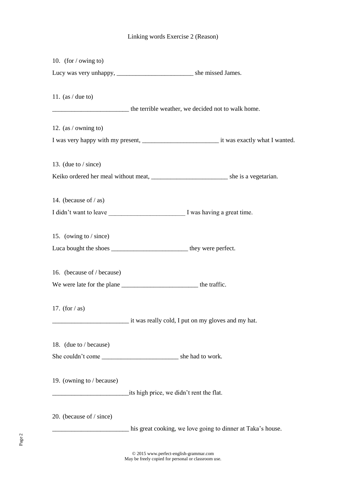## Linking words Exercise 2 (Reason)

| 10. (for $/\omega$ owing to)                                              |                                                             |
|---------------------------------------------------------------------------|-------------------------------------------------------------|
|                                                                           |                                                             |
| 11. $(as / due to)$                                                       |                                                             |
|                                                                           | the terrible weather, we decided not to walk home.          |
| 12. (as / owning to)                                                      |                                                             |
|                                                                           |                                                             |
| 13. (due to $/$ since)                                                    |                                                             |
|                                                                           |                                                             |
| 14. (because of $/$ as)                                                   |                                                             |
|                                                                           |                                                             |
| 15. (owing to $/$ since)                                                  |                                                             |
| Luca bought the shoes ________________________________ they were perfect. |                                                             |
| 16. (because of / because)                                                |                                                             |
|                                                                           |                                                             |
| 17. (for $/\text{as}$ )                                                   | it was really cold, I put on my gloves and my hat.          |
|                                                                           |                                                             |
| 18. (due to / because)                                                    |                                                             |
|                                                                           |                                                             |
| 19. (owning to / because)                                                 | its high price, we didn't rent the flat.                    |
| 20. (because of / since)                                                  |                                                             |
|                                                                           | his great cooking, we love going to dinner at Taka's house. |